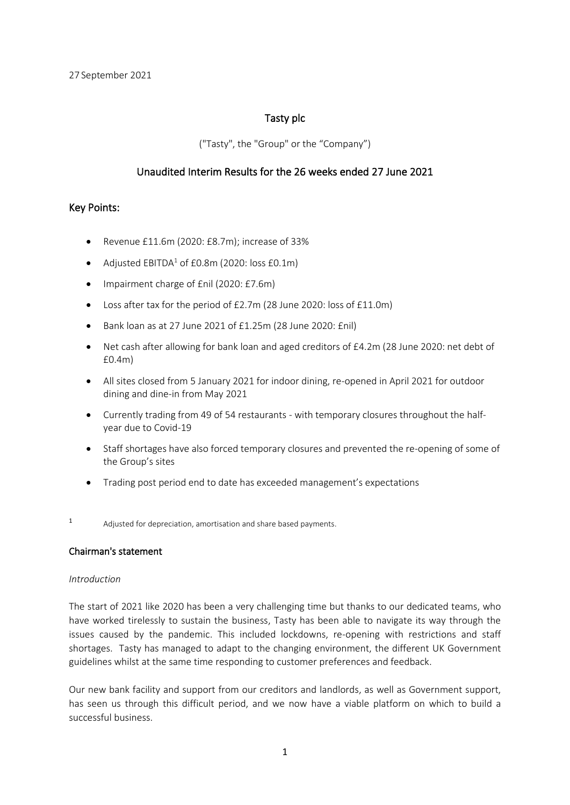## Tasty plc

("Tasty", the "Group" or the "Company")

## Unaudited Interim Results for the 26 weeks ended 27 June 2021

## Key Points:

- Revenue £11.6m (2020: £8.7m); increase of 33%
- Adjusted  $EBITDA<sup>1</sup>$  of £0.8m (2020: loss £0.1m)
- Impairment charge of £nil (2020: £7.6m)
- Loss after tax for the period of £2.7m (28 June 2020: loss of £11.0m)
- Bank loan as at 27 June 2021 of £1.25m (28 June 2020: £nil)
- Net cash after allowing for bank loan and aged creditors of £4.2m (28 June 2020: net debt of £0.4m)
- All sites closed from 5 January 2021 for indoor dining, re-opened in April 2021 for outdoor dining and dine-in from May 2021
- Currently trading from 49 of 54 restaurants with temporary closures throughout the halfyear due to Covid-19
- Staff shortages have also forced temporary closures and prevented the re-opening of some of the Group's sites
- Trading post period end to date has exceeded management's expectations
- 1 Adjusted for depreciation, amortisation and share based payments.

#### Chairman's statement

#### *Introduction*

The start of 2021 like 2020 has been a very challenging time but thanks to our dedicated teams, who have worked tirelessly to sustain the business, Tasty has been able to navigate its way through the issues caused by the pandemic. This included lockdowns, re-opening with restrictions and staff shortages. Tasty has managed to adapt to the changing environment, the different UK Government guidelines whilst at the same time responding to customer preferences and feedback.

Our new bank facility and support from our creditors and landlords, as well as Government support, has seen us through this difficult period, and we now have a viable platform on which to build a successful business.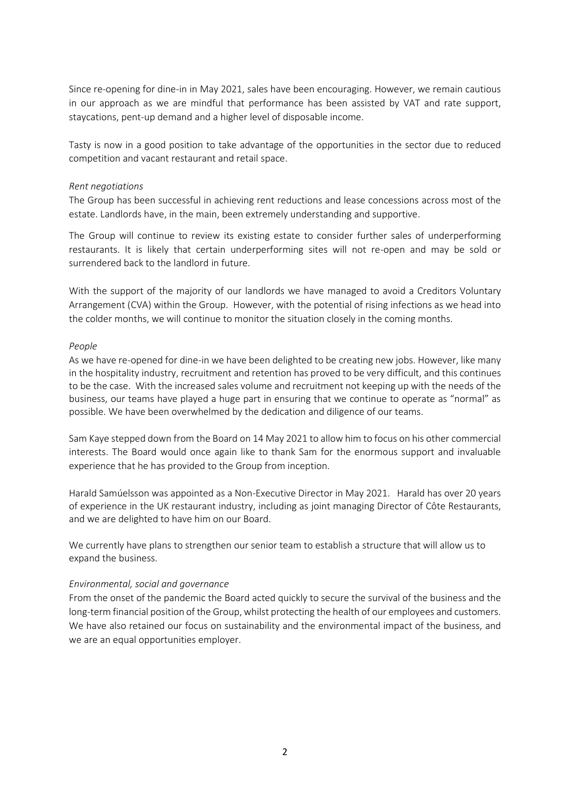Since re-opening for dine-in in May 2021, sales have been encouraging. However, we remain cautious in our approach as we are mindful that performance has been assisted by VAT and rate support, staycations, pent-up demand and a higher level of disposable income.

Tasty is now in a good position to take advantage of the opportunities in the sector due to reduced competition and vacant restaurant and retail space.

#### *Rent negotiations*

The Group has been successful in achieving rent reductions and lease concessions across most of the estate. Landlords have, in the main, been extremely understanding and supportive.

The Group will continue to review its existing estate to consider further sales of underperforming restaurants. It is likely that certain underperforming sites will not re-open and may be sold or surrendered back to the landlord in future.

With the support of the majority of our landlords we have managed to avoid a Creditors Voluntary Arrangement (CVA) within the Group. However, with the potential of rising infections as we head into the colder months, we will continue to monitor the situation closely in the coming months.

#### *People*

As we have re-opened for dine-in we have been delighted to be creating new jobs. However, like many in the hospitality industry, recruitment and retention has proved to be very difficult, and this continues to be the case. With the increased sales volume and recruitment not keeping up with the needs of the business, our teams have played a huge part in ensuring that we continue to operate as "normal" as possible. We have been overwhelmed by the dedication and diligence of our teams.

Sam Kaye stepped down from the Board on 14 May 2021 to allow him to focus on his other commercial interests. The Board would once again like to thank Sam for the enormous support and invaluable experience that he has provided to the Group from inception.

Harald Samúelsson was appointed as a Non-Executive Director in May 2021. Harald has over 20 years of experience in the UK restaurant industry, including as joint managing Director of Côte Restaurants, and we are delighted to have him on our Board.

We currently have plans to strengthen our senior team to establish a structure that will allow us to expand the business.

#### *Environmental, social and governance*

From the onset of the pandemic the Board acted quickly to secure the survival of the business and the long-term financial position of the Group, whilst protecting the health of our employees and customers. We have also retained our focus on sustainability and the environmental impact of the business, and we are an equal opportunities employer.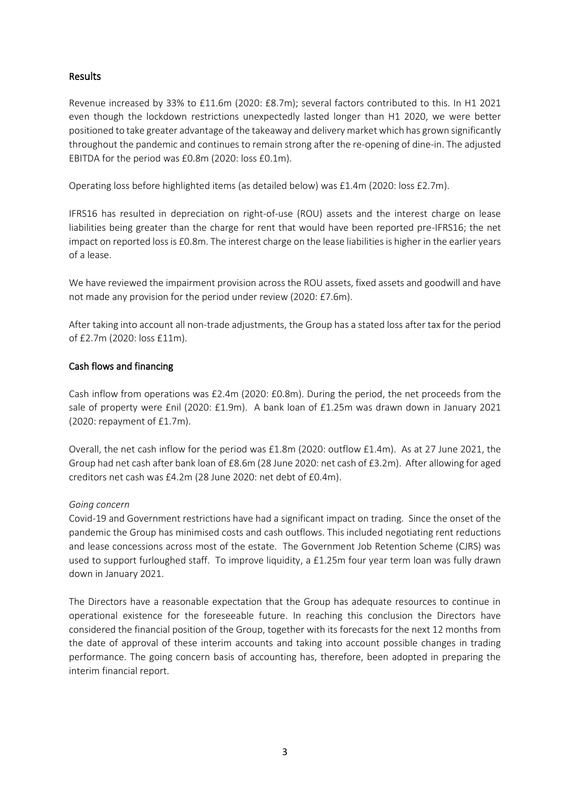## Results

Revenue increased by 33% to £11.6m (2020: £8.7m); several factors contributed to this. In H1 2021 even though the lockdown restrictions unexpectedly lasted longer than H1 2020, we were better positioned to take greater advantage of the takeaway and delivery market which has grown significantly throughout the pandemic and continues to remain strong after the re-opening of dine-in. The adjusted EBITDA for the period was £0.8m (2020: loss £0.1m).

Operating loss before highlighted items (as detailed below) was £1.4m (2020: loss £2.7m).

IFRS16 has resulted in depreciation on right-of-use (ROU) assets and the interest charge on lease liabilities being greater than the charge for rent that would have been reported pre-IFRS16; the net impact on reported loss is £0.8m. The interest charge on the lease liabilities is higher in the earlier years of a lease.

We have reviewed the impairment provision across the ROU assets, fixed assets and goodwill and have not made any provision for the period under review (2020: £7.6m).

After taking into account all non-trade adjustments, the Group has a stated loss after tax for the period of £2.7m (2020: loss £11m).

## Cash flows and financing

Cash inflow from operations was £2.4m (2020: £0.8m). During the period, the net proceeds from the sale of property were £nil (2020: £1.9m). A bank loan of £1.25m was drawn down in January 2021 (2020: repayment of £1.7m).

Overall, the net cash inflow for the period was £1.8m (2020: outflow £1.4m). As at 27 June 2021, the Group had net cash after bank loan of £8.6m (28 June 2020: net cash of £3.2m). After allowing for aged creditors net cash was £4.2m (28 June 2020: net debt of £0.4m).

## *Going concern*

Covid-19 and Government restrictions have had a significant impact on trading. Since the onset of the pandemic the Group has minimised costs and cash outflows. This included negotiating rent reductions and lease concessions across most of the estate. The Government Job Retention Scheme (CJRS) was used to support furloughed staff. To improve liquidity, a £1.25m four year term loan was fully drawn down in January 2021.

The Directors have a reasonable expectation that the Group has adequate resources to continue in operational existence for the foreseeable future. In reaching this conclusion the Directors have considered the financial position of the Group, together with its forecasts for the next 12 months from the date of approval of these interim accounts and taking into account possible changes in trading performance. The going concern basis of accounting has, therefore, been adopted in preparing the interim financial report.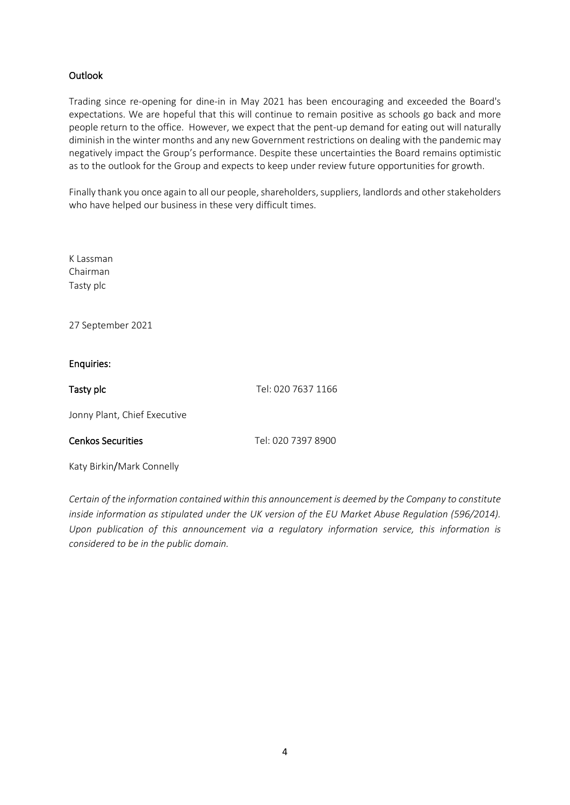## **Outlook**

Trading since re-opening for dine-in in May 2021 has been encouraging and exceeded the Board's expectations. We are hopeful that this will continue to remain positive as schools go back and more people return to the office. However, we expect that the pent-up demand for eating out will naturally diminish in the winter months and any new Government restrictions on dealing with the pandemic may negatively impact the Group's performance. Despite these uncertainties the Board remains optimistic as to the outlook for the Group and expects to keep under review future opportunities for growth.

Finally thank you once again to all our people, shareholders, suppliers, landlords and other stakeholders who have helped our business in these very difficult times.

K Lassman Chairman Tasty plc

27 September 2021

### Enquiries:

Tasty plc Tasty plc Tel: 020 7637 1166

Jonny Plant, Chief Executive

Cenkos Securities Tel: 020 7397 8900

Katy Birkin/Mark Connelly

*Certain of the information contained within this announcement is deemed by the Company to constitute inside information as stipulated under the UK version of the EU Market Abuse Regulation (596/2014). Upon publication of this announcement via a regulatory information service, this information is considered to be in the public domain.*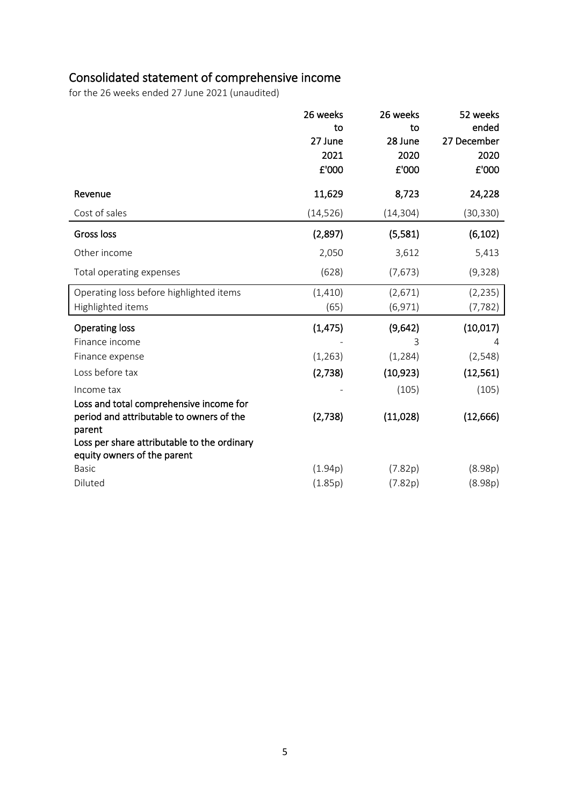# Consolidated statement of comprehensive income

for the 26 weeks ended 27 June 2021 (unaudited)

|                                                                                                                                                                                             | 26 weeks<br>to<br>27 June<br>2021<br>£'000 | 26 weeks<br>to<br>28 June<br>2020<br>£'000     | 52 weeks<br>ended<br>27 December<br>2020<br>£'000 |
|---------------------------------------------------------------------------------------------------------------------------------------------------------------------------------------------|--------------------------------------------|------------------------------------------------|---------------------------------------------------|
| Revenue                                                                                                                                                                                     | 11,629                                     | 8,723                                          | 24,228                                            |
| Cost of sales                                                                                                                                                                               | (14, 526)                                  | (14, 304)                                      | (30, 330)                                         |
| Gross loss                                                                                                                                                                                  | (2,897)                                    | (5,581)                                        | (6, 102)                                          |
| Other income                                                                                                                                                                                | 2,050                                      | 3,612                                          | 5,413                                             |
| Total operating expenses                                                                                                                                                                    | (628)                                      | (7, 673)                                       | (9,328)                                           |
| Operating loss before highlighted items<br>Highlighted items                                                                                                                                | (1, 410)<br>(65)                           | (2,671)<br>(6, 971)                            | (2, 235)<br>(7, 782)                              |
| <b>Operating loss</b><br>Finance income<br>Finance expense<br>Loss before tax<br>Income tax                                                                                                 | (1, 475)<br>(1, 263)<br>(2,738)            | (9,642)<br>3<br>(1, 284)<br>(10, 923)<br>(105) | (10, 017)<br>4<br>(2, 548)<br>(12, 561)<br>(105)  |
| Loss and total comprehensive income for<br>period and attributable to owners of the<br>parent<br>Loss per share attributable to the ordinary<br>equity owners of the parent<br><b>Basic</b> | (2,738)<br>(1.94p)                         | (11,028)<br>(7.82p)                            | (12, 666)<br>(8.98p)                              |
| Diluted                                                                                                                                                                                     | (1.85p)                                    | (7.82p)                                        | (8.98p)                                           |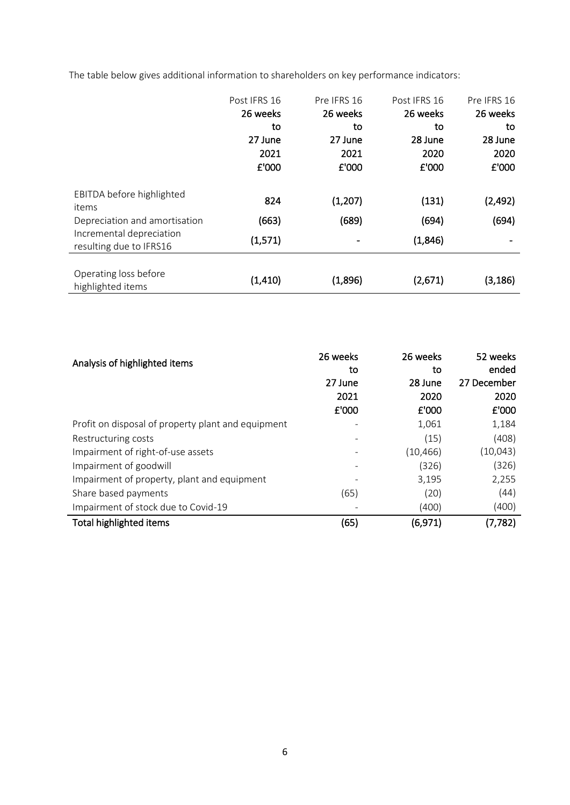The table below gives additional information to shareholders on key performance indicators:

|                               | Post IFRS 16 | Pre IFRS 16 | Post IFRS 16 | Pre IFRS 16 |
|-------------------------------|--------------|-------------|--------------|-------------|
|                               | 26 weeks     | 26 weeks    | 26 weeks     | 26 weeks    |
|                               | to           | to          | to           | to          |
|                               | 27 June      | 27 June     | 28 June      | 28 June     |
|                               | 2021         | 2021        | 2020         | 2020        |
|                               | £'000        | £'000       | £'000        | £'000       |
|                               |              |             |              |             |
| EBITDA before highlighted     |              |             |              |             |
| items                         | 824          | (1, 207)    | (131)        | (2, 492)    |
| Depreciation and amortisation | (663)        | (689)       | (694)        | (694)       |
| Incremental depreciation      | (1, 571)     |             | (1,846)      |             |
| resulting due to IFRS16       |              |             |              |             |
|                               |              |             |              |             |
| Operating loss before         | (1, 410)     | (1,896)     |              |             |
| highlighted items             |              |             | (2,671)      | (3, 186)    |

| Analysis of highlighted items                      | 26 weeks<br>to<br>27 June<br>2021<br>£'000 | 26 weeks<br>to<br>28 June<br>2020<br>£'000 | 52 weeks<br>ended<br>27 December<br>2020<br>£'000 |
|----------------------------------------------------|--------------------------------------------|--------------------------------------------|---------------------------------------------------|
| Profit on disposal of property plant and equipment |                                            | 1,061                                      | 1,184                                             |
| Restructuring costs                                |                                            | (15)                                       | (408)                                             |
| Impairment of right-of-use assets                  |                                            | (10, 466)                                  | (10,043)                                          |
| Impairment of goodwill                             |                                            | (326)                                      | (326)                                             |
| Impairment of property, plant and equipment        |                                            | 3,195                                      | 2,255                                             |
| Share based payments                               | (65)                                       | (20)                                       | (44)                                              |
| Impairment of stock due to Covid-19                |                                            | (400)                                      | (400)                                             |
| Total highlighted items                            | (65)                                       | (6, 971)                                   | (7,782)                                           |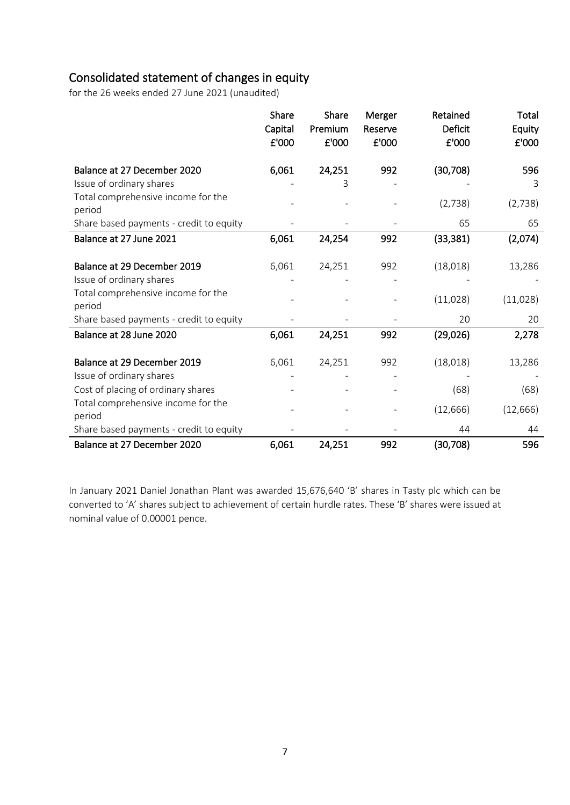## Consolidated statement of changes in equity

for the 26 weeks ended 27 June 2021 (unaudited)

|                                              | Share<br>Capital<br>£'000 | Share<br>Premium<br>£'000 | Merger<br>Reserve<br>£'000 | Retained<br><b>Deficit</b><br>£'000 | Total<br>Equity<br>£'000 |
|----------------------------------------------|---------------------------|---------------------------|----------------------------|-------------------------------------|--------------------------|
| Balance at 27 December 2020                  | 6,061                     | 24,251                    | 992                        | (30, 708)                           | 596                      |
| Issue of ordinary shares                     |                           | 3                         |                            |                                     | 3                        |
| Total comprehensive income for the<br>period |                           |                           |                            | (2,738)                             | (2,738)                  |
| Share based payments - credit to equity      |                           |                           |                            | 65                                  | 65                       |
| Balance at 27 June 2021                      | 6,061                     | 24,254                    | 992                        | (33, 381)                           | (2,074)                  |
| Balance at 29 December 2019                  | 6,061                     | 24,251                    | 992                        | (18,018)                            | 13,286                   |
| Issue of ordinary shares                     |                           |                           |                            |                                     |                          |
| Total comprehensive income for the<br>period |                           |                           |                            | (11,028)                            | (11,028)                 |
| Share based payments - credit to equity      |                           |                           |                            | 20                                  | 20                       |
| Balance at 28 June 2020                      | 6,061                     | 24,251                    | 992                        | (29, 026)                           | 2,278                    |
| Balance at 29 December 2019                  | 6,061                     | 24,251                    | 992                        | (18,018)                            | 13,286                   |
| Issue of ordinary shares                     |                           |                           |                            |                                     |                          |
| Cost of placing of ordinary shares           |                           |                           |                            | (68)                                | (68)                     |
| Total comprehensive income for the<br>period |                           |                           |                            | (12, 666)                           | (12, 666)                |
| Share based payments - credit to equity      |                           |                           |                            | 44                                  | 44                       |
| Balance at 27 December 2020                  | 6,061                     | 24,251                    | 992                        | (30, 708)                           | 596                      |

In January 2021 Daniel Jonathan Plant was awarded 15,676,640 'B' shares in Tasty plc which can be converted to 'A' shares subject to achievement of certain hurdle rates. These 'B' shares were issued at nominal value of 0.00001 pence.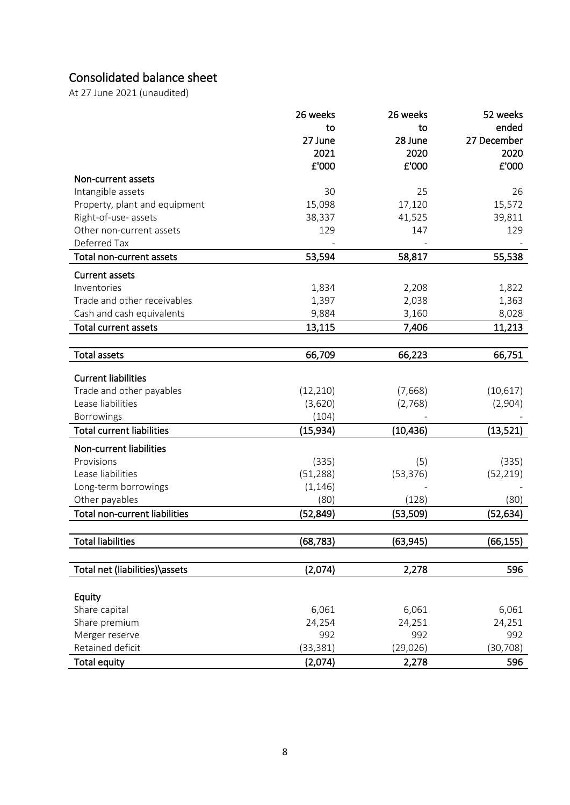# Consolidated balance sheet

At 27 June 2021 (unaudited)

|                                  | 26 weeks  | 26 weeks  | 52 weeks    |
|----------------------------------|-----------|-----------|-------------|
|                                  | to        | to        | ended       |
|                                  | 27 June   | 28 June   | 27 December |
|                                  | 2021      | 2020      | 2020        |
|                                  | £'000     | £'000     | £'000       |
| Non-current assets               |           |           |             |
| Intangible assets                | 30        | 25        | 26          |
| Property, plant and equipment    | 15,098    | 17,120    | 15,572      |
| Right-of-use- assets             | 38,337    | 41,525    | 39,811      |
| Other non-current assets         | 129       | 147       | 129         |
| Deferred Tax                     |           |           |             |
| Total non-current assets         | 53,594    | 58,817    | 55,538      |
|                                  |           |           |             |
| <b>Current assets</b>            |           |           |             |
| Inventories                      | 1,834     | 2,208     | 1,822       |
| Trade and other receivables      | 1,397     | 2,038     | 1,363       |
| Cash and cash equivalents        | 9,884     | 3,160     | 8,028       |
| <b>Total current assets</b>      | 13,115    | 7,406     | 11,213      |
|                                  |           |           |             |
| <b>Total assets</b>              | 66,709    | 66,223    | 66,751      |
|                                  |           |           |             |
| <b>Current liabilities</b>       |           |           |             |
| Trade and other payables         | (12, 210) | (7,668)   | (10,617)    |
| Lease liabilities                | (3,620)   | (2,768)   | (2,904)     |
| Borrowings                       | (104)     |           |             |
| <b>Total current liabilities</b> | (15, 934) | (10, 436) | (13, 521)   |
| Non-current liabilities          |           |           |             |
| Provisions                       | (335)     | (5)       | (335)       |
| Lease liabilities                | (51, 288) | (53, 376) | (52, 219)   |
| Long-term borrowings             | (1, 146)  |           |             |
| Other payables                   | (80)      | (128)     | (80)        |
| Total non-current liabilities    | (52, 849) | (53, 509) | (52, 634)   |
|                                  |           |           |             |
| Total liabilities                | (68, 783) | (63,945)  | (66,155)    |
|                                  |           |           |             |
| Total net (liabilities)\assets   | (2,074)   | 2,278     | 596         |
|                                  |           |           |             |
| Equity                           |           |           |             |
| Share capital                    | 6,061     | 6,061     | 6,061       |
| Share premium                    | 24,254    | 24,251    | 24,251      |
| Merger reserve                   | 992       | 992       | 992         |
| Retained deficit                 | (33, 381) | (29, 026) | (30, 708)   |
| <b>Total equity</b>              | (2,074)   | 2,278     | 596         |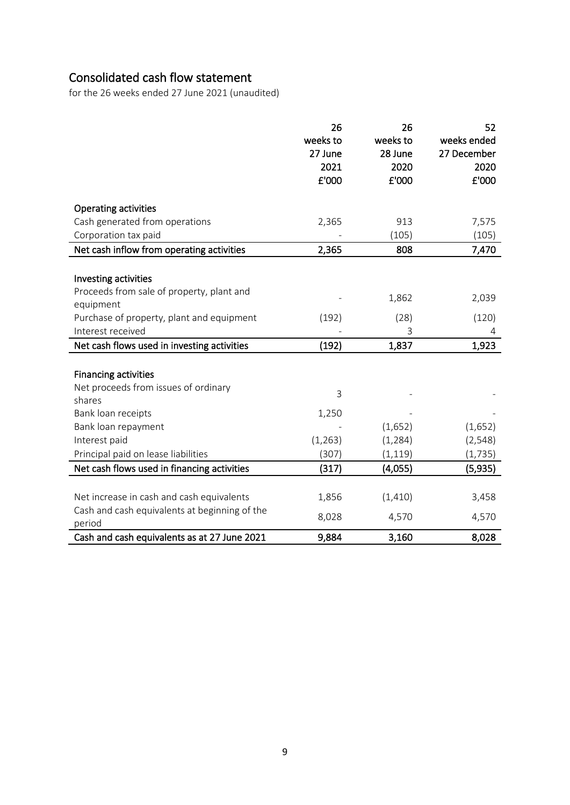## Consolidated cash flow statement

for the 26 weeks ended 27 June 2021 (unaudited)

|                                                         | 26<br>weeks to | 26<br>weeks to | 52<br>weeks ended |
|---------------------------------------------------------|----------------|----------------|-------------------|
|                                                         | 27 June        | 28 June        | 27 December       |
|                                                         | 2021           | 2020           | 2020              |
|                                                         | £'000          | £'000          | £'000             |
|                                                         |                |                |                   |
| <b>Operating activities</b>                             |                | 913            |                   |
| Cash generated from operations                          | 2,365          |                | 7,575             |
| Corporation tax paid                                    |                | (105)          | (105)             |
| Net cash inflow from operating activities               | 2,365          | 808            | 7,470             |
| Investing activities                                    |                |                |                   |
| Proceeds from sale of property, plant and               |                |                |                   |
| equipment                                               |                | 1,862          | 2,039             |
| Purchase of property, plant and equipment               | (192)          | (28)           |                   |
| Interest received                                       |                | 3              | (120)             |
|                                                         |                |                | 4                 |
| Net cash flows used in investing activities             | (192)          | 1,837          | 1,923             |
|                                                         |                |                |                   |
| <b>Financing activities</b>                             |                |                |                   |
| Net proceeds from issues of ordinary                    | 3              |                |                   |
| shares                                                  |                |                |                   |
| Bank loan receipts                                      | 1,250          |                |                   |
| Bank loan repayment                                     |                | (1,652)        | (1,652)           |
| Interest paid                                           | (1, 263)       | (1, 284)       | (2, 548)          |
| Principal paid on lease liabilities                     | (307)          | (1, 119)       | (1, 735)          |
| Net cash flows used in financing activities             | (317)          | (4,055)        | (5,935)           |
|                                                         |                |                |                   |
| Net increase in cash and cash equivalents               | 1,856          | (1, 410)       | 3,458             |
| Cash and cash equivalents at beginning of the<br>period | 8,028          | 4,570          | 4,570             |
| Cash and cash equivalents as at 27 June 2021            | 9,884          | 3,160          | 8,028             |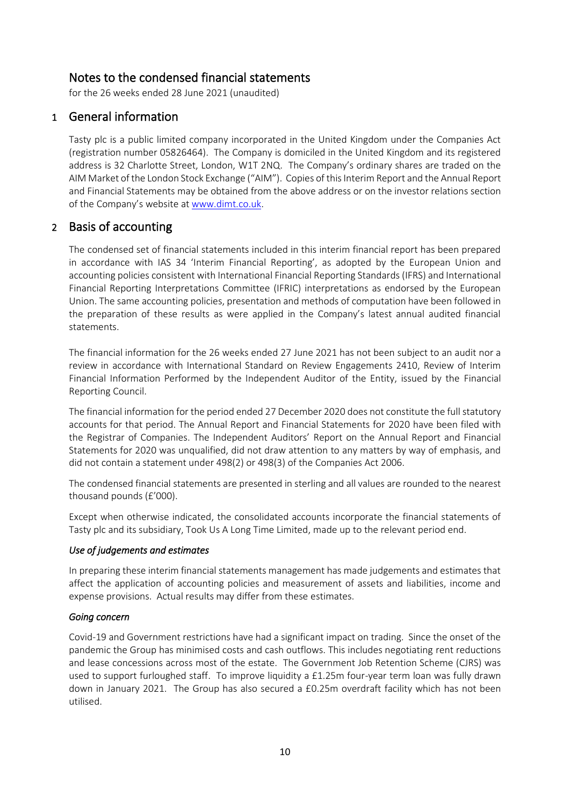## Notes to the condensed financial statements

for the 26 weeks ended 28 June 2021 (unaudited)

## 1 General information

Tasty plc is a public limited company incorporated in the United Kingdom under the Companies Act (registration number 05826464). The Company is domiciled in the United Kingdom and its registered address is 32 Charlotte Street, London, W1T 2NQ. The Company's ordinary shares are traded on the AIM Market of the London Stock Exchange ("AIM"). Copies of this Interim Report and the Annual Report and Financial Statements may be obtained from the above address or on the investor relations section of the Company's website at [www.dimt.co.uk.](http://www.dimt.co.uk/)

## 2 Basis of accounting

The condensed set of financial statements included in this interim financial report has been prepared in accordance with IAS 34 'Interim Financial Reporting', as adopted by the European Union and accounting policies consistent with International Financial Reporting Standards (IFRS) and International Financial Reporting Interpretations Committee (IFRIC) interpretations as endorsed by the European Union. The same accounting policies, presentation and methods of computation have been followed in the preparation of these results as were applied in the Company's latest annual audited financial statements.

The financial information for the 26 weeks ended 27 June 2021 has not been subject to an audit nor a review in accordance with International Standard on Review Engagements 2410, Review of Interim Financial Information Performed by the Independent Auditor of the Entity, issued by the Financial Reporting Council.

The financial information for the period ended 27 December 2020 does not constitute the full statutory accounts for that period. The Annual Report and Financial Statements for 2020 have been filed with the Registrar of Companies. The Independent Auditors' Report on the Annual Report and Financial Statements for 2020 was unqualified, did not draw attention to any matters by way of emphasis, and did not contain a statement under 498(2) or 498(3) of the Companies Act 2006.

The condensed financial statements are presented in sterling and all values are rounded to the nearest thousand pounds (£'000).

Except when otherwise indicated, the consolidated accounts incorporate the financial statements of Tasty plc and its subsidiary, Took Us A Long Time Limited, made up to the relevant period end.

## *Use of judgements and estimates*

In preparing these interim financial statements management has made judgements and estimates that affect the application of accounting policies and measurement of assets and liabilities, income and expense provisions. Actual results may differ from these estimates.

#### *Going concern*

Covid-19 and Government restrictions have had a significant impact on trading. Since the onset of the pandemic the Group has minimised costs and cash outflows. This includes negotiating rent reductions and lease concessions across most of the estate. The Government Job Retention Scheme (CJRS) was used to support furloughed staff. To improve liquidity a £1.25m four-year term loan was fully drawn down in January 2021. The Group has also secured a £0.25m overdraft facility which has not been utilised.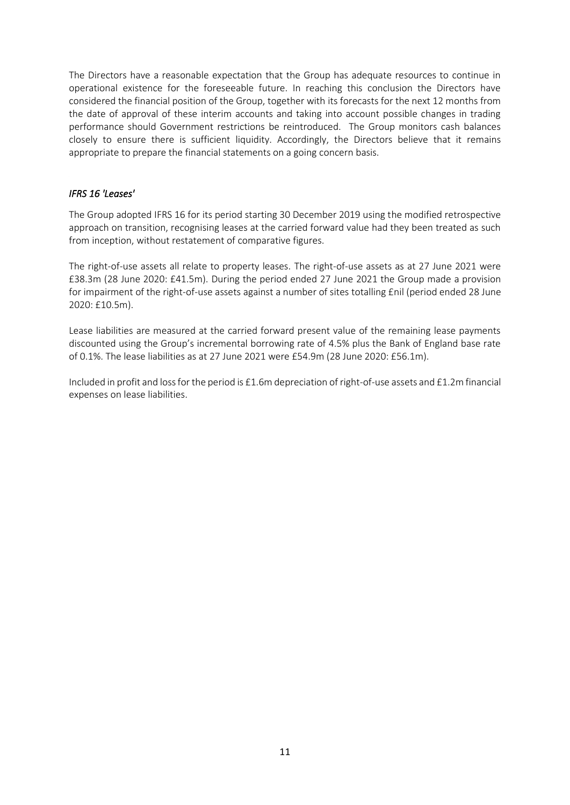The Directors have a reasonable expectation that the Group has adequate resources to continue in operational existence for the foreseeable future. In reaching this conclusion the Directors have considered the financial position of the Group, together with its forecasts for the next 12 months from the date of approval of these interim accounts and taking into account possible changes in trading performance should Government restrictions be reintroduced. The Group monitors cash balances closely to ensure there is sufficient liquidity. Accordingly, the Directors believe that it remains appropriate to prepare the financial statements on a going concern basis.

## *IFRS 16 'Leases'*

The Group adopted IFRS 16 for its period starting 30 December 2019 using the modified retrospective approach on transition, recognising leases at the carried forward value had they been treated as such from inception, without restatement of comparative figures.

The right-of-use assets all relate to property leases. The right-of-use assets as at 27 June 2021 were £38.3m (28 June 2020: £41.5m). During the period ended 27 June 2021 the Group made a provision for impairment of the right-of-use assets against a number of sites totalling £nil (period ended 28 June 2020: £10.5m).

Lease liabilities are measured at the carried forward present value of the remaining lease payments discounted using the Group's incremental borrowing rate of 4.5% plus the Bank of England base rate of 0.1%. The lease liabilities as at 27 June 2021 were £54.9m (28 June 2020: £56.1m).

Included in profit and loss for the period is £1.6m depreciation of right-of-use assets and £1.2m financial expenses on lease liabilities.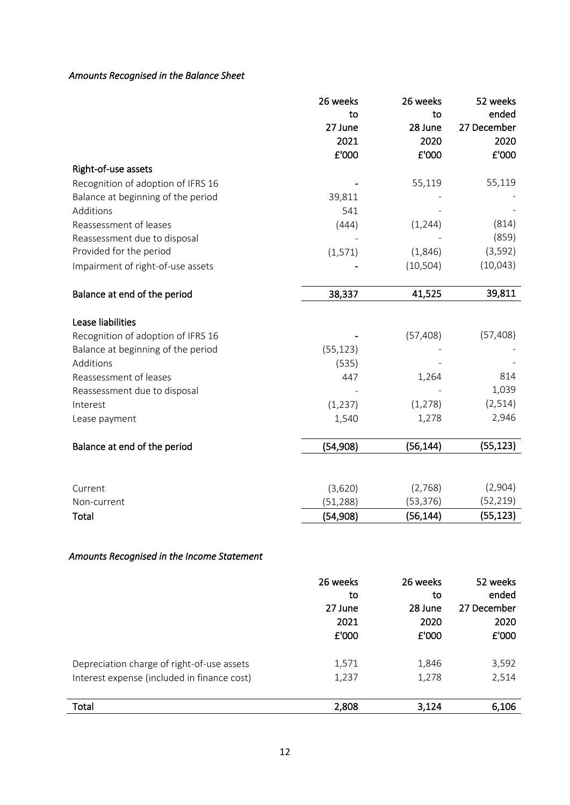## *Amounts Recognised in the Balance Sheet*

|                                    | 26 weeks  | 26 weeks  | 52 weeks    |
|------------------------------------|-----------|-----------|-------------|
|                                    | to        | to        | ended       |
|                                    | 27 June   | 28 June   | 27 December |
|                                    | 2021      | 2020      | 2020        |
|                                    | £'000     | £'000     | £'000       |
| Right-of-use assets                |           |           |             |
| Recognition of adoption of IFRS 16 |           | 55,119    | 55,119      |
| Balance at beginning of the period | 39,811    |           |             |
| Additions                          | 541       |           |             |
| Reassessment of leases             | (444)     | (1, 244)  | (814)       |
| Reassessment due to disposal       |           |           | (859)       |
| Provided for the period            | (1, 571)  | (1,846)   | (3, 592)    |
| Impairment of right-of-use assets  |           | (10, 504) | (10,043)    |
|                                    |           |           |             |
| Balance at end of the period       | 38,337    | 41,525    | 39,811      |
|                                    |           |           |             |
| Lease liabilities                  |           |           |             |
| Recognition of adoption of IFRS 16 |           | (57, 408) | (57, 408)   |
| Balance at beginning of the period | (55, 123) |           |             |
| Additions                          | (535)     |           |             |
| Reassessment of leases             | 447       | 1,264     | 814         |
| Reassessment due to disposal       |           |           | 1,039       |
| Interest                           | (1, 237)  | (1, 278)  | (2, 514)    |
| Lease payment                      | 1,540     | 1,278     | 2,946       |
|                                    |           |           |             |
| Balance at end of the period       | (54, 908) | (56, 144) | (55, 123)   |
|                                    |           |           |             |
|                                    |           |           |             |
| Current                            | (3,620)   | (2,768)   | (2,904)     |
| Non-current                        | (51, 288) | (53, 376) | (52, 219)   |
| Total                              | (54, 908) | (56, 144) | (55, 123)   |

## *Amounts Recognised in the Income Statement*

|                                             | 26 weeks<br>to<br>27 June<br>2021<br>£'000 | 26 weeks<br>to<br>28 June<br>2020<br>£'000 | 52 weeks<br>ended<br>27 December<br>2020<br>£'000 |
|---------------------------------------------|--------------------------------------------|--------------------------------------------|---------------------------------------------------|
| Depreciation charge of right-of-use assets  | 1,571                                      | 1,846                                      | 3,592                                             |
| Interest expense (included in finance cost) | 1,237                                      | 1,278                                      | 2,514                                             |
| Total                                       | 2,808                                      | 3,124                                      | 6,106                                             |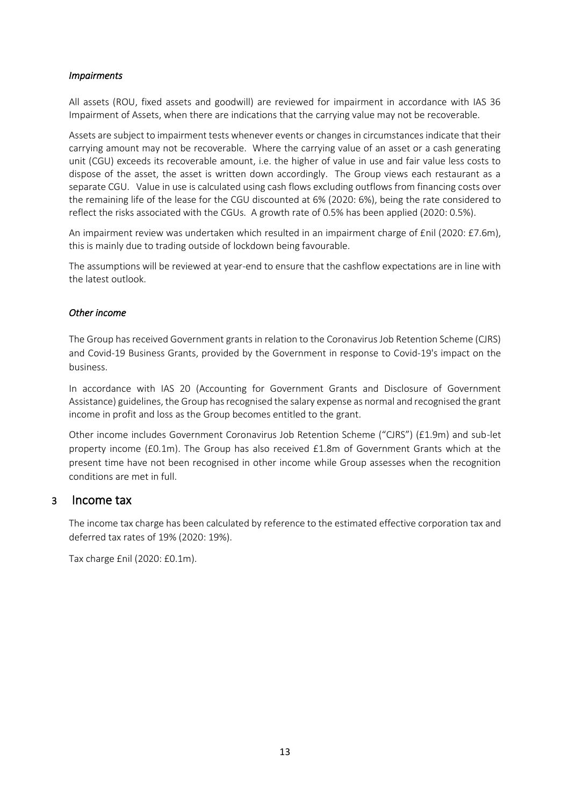### *Impairments*

All assets (ROU, fixed assets and goodwill) are reviewed for impairment in accordance with IAS 36 Impairment of Assets, when there are indications that the carrying value may not be recoverable.

Assets are subject to impairment tests whenever events or changes in circumstances indicate that their carrying amount may not be recoverable. Where the carrying value of an asset or a cash generating unit (CGU) exceeds its recoverable amount, i.e. the higher of value in use and fair value less costs to dispose of the asset, the asset is written down accordingly. The Group views each restaurant as a separate CGU. Value in use is calculated using cash flows excluding outflows from financing costs over the remaining life of the lease for the CGU discounted at 6% (2020: 6%), being the rate considered to reflect the risks associated with the CGUs. A growth rate of 0.5% has been applied (2020: 0.5%).

An impairment review was undertaken which resulted in an impairment charge of £nil (2020: £7.6m), this is mainly due to trading outside of lockdown being favourable.

The assumptions will be reviewed at year-end to ensure that the cashflow expectations are in line with the latest outlook.

### *Other income*

The Group has received Government grants in relation to the Coronavirus Job Retention Scheme (CJRS) and Covid-19 Business Grants, provided by the Government in response to Covid-19's impact on the business.

In accordance with IAS 20 (Accounting for Government Grants and Disclosure of Government Assistance) guidelines, the Group has recognised the salary expense as normal and recognised the grant income in profit and loss as the Group becomes entitled to the grant.

Other income includes Government Coronavirus Job Retention Scheme ("CJRS") (£1.9m) and sub-let property income (£0.1m). The Group has also received £1.8m of Government Grants which at the present time have not been recognised in other income while Group assesses when the recognition conditions are met in full.

## 3 Income tax

The income tax charge has been calculated by reference to the estimated effective corporation tax and deferred tax rates of 19% (2020: 19%).

Tax charge £nil (2020: £0.1m).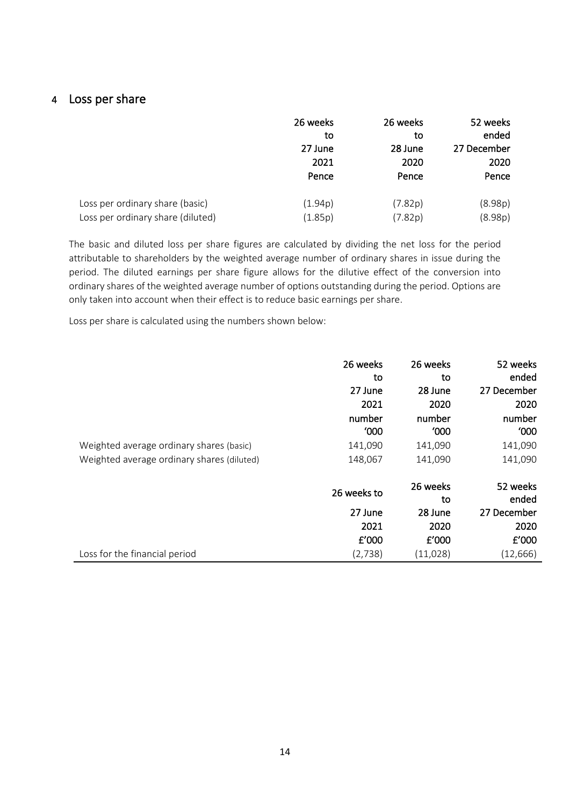## 4 Loss per share

|                                   | 26 weeks<br>to<br>27 June<br>2021<br>Pence | 26 weeks<br>to<br>28 June<br>2020<br>Pence | 52 weeks<br>ended<br>27 December<br>2020<br>Pence |
|-----------------------------------|--------------------------------------------|--------------------------------------------|---------------------------------------------------|
| Loss per ordinary share (basic)   | (1.94p)                                    | (7.82p)                                    | (8.98p)                                           |
| Loss per ordinary share (diluted) | (1.85p)                                    | (7.82p)                                    | (8.98p)                                           |

The basic and diluted loss per share figures are calculated by dividing the net loss for the period attributable to shareholders by the weighted average number of ordinary shares in issue during the period. The diluted earnings per share figure allows for the dilutive effect of the conversion into ordinary shares of the weighted average number of options outstanding during the period. Options are only taken into account when their effect is to reduce basic earnings per share.

Loss per share is calculated using the numbers shown below:

|                                            | 26 weeks<br>to<br>27 June<br>2021<br>number | 26 weeks<br>to<br>28 June<br>2020<br>number | 52 weeks<br>ended<br>27 December<br>2020<br>number |
|--------------------------------------------|---------------------------------------------|---------------------------------------------|----------------------------------------------------|
|                                            | '000                                        | '000                                        | '000                                               |
| Weighted average ordinary shares (basic)   | 141,090                                     | 141,090                                     | 141,090                                            |
| Weighted average ordinary shares (diluted) | 148,067                                     | 141,090                                     | 141,090                                            |
|                                            | 26 weeks to                                 | 26 weeks<br>to                              | 52 weeks<br>ended                                  |
|                                            | 27 June                                     | 28 June                                     | 27 December                                        |
|                                            | 2021                                        | 2020                                        | 2020                                               |
|                                            | $E'$ 000                                    | E'000                                       | £'000                                              |
| Loss for the financial period              | (2,738)                                     | (11,028)                                    | (12, 666)                                          |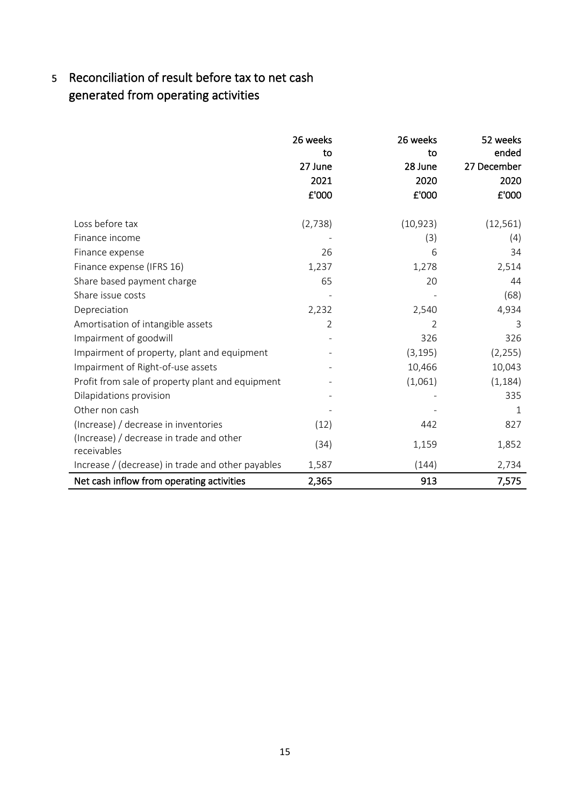# 5 Reconciliation of result before tax to net cash generated from operating activities

|                                                         | 26 weeks<br>to<br>27 June<br>2021<br>£'000 | 26 weeks<br>to<br>28 June<br>2020<br>£'000 | 52 weeks<br>ended<br>27 December<br>2020<br>£'000 |
|---------------------------------------------------------|--------------------------------------------|--------------------------------------------|---------------------------------------------------|
| Loss before tax                                         | (2,738)                                    | (10, 923)                                  | (12, 561)                                         |
| Finance income                                          |                                            | (3)                                        | (4)                                               |
| Finance expense                                         | 26                                         | 6                                          | 34                                                |
| Finance expense (IFRS 16)                               | 1,237                                      | 1,278                                      | 2,514                                             |
| Share based payment charge                              | 65                                         | 20                                         | 44                                                |
| Share issue costs                                       |                                            |                                            | (68)                                              |
| Depreciation                                            | 2,232                                      | 2,540                                      | 4,934                                             |
| Amortisation of intangible assets                       | 2                                          | $\overline{2}$                             | 3                                                 |
| Impairment of goodwill                                  |                                            | 326                                        | 326                                               |
| Impairment of property, plant and equipment             |                                            | (3, 195)                                   | (2, 255)                                          |
| Impairment of Right-of-use assets                       |                                            | 10,466                                     | 10,043                                            |
| Profit from sale of property plant and equipment        |                                            | (1,061)                                    | (1, 184)                                          |
| Dilapidations provision                                 |                                            |                                            | 335                                               |
| Other non cash                                          |                                            |                                            | $\mathbf 1$                                       |
| (Increase) / decrease in inventories                    | (12)                                       | 442                                        | 827                                               |
| (Increase) / decrease in trade and other<br>receivables | (34)                                       | 1,159                                      | 1,852                                             |
| Increase / (decrease) in trade and other payables       | 1,587                                      | (144)                                      | 2,734                                             |
| Net cash inflow from operating activities               | 2,365                                      | 913                                        | 7,575                                             |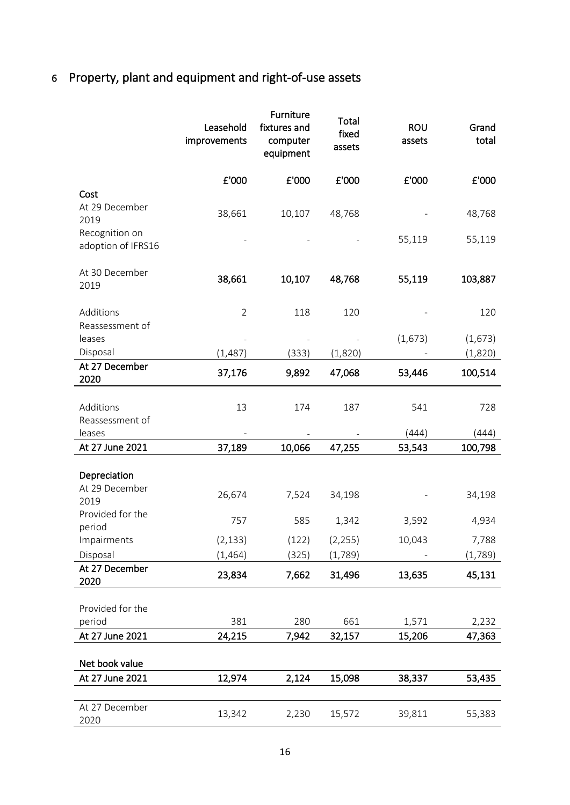# 6 Property, plant and equipment and right-of-use assets

|                                                            | Leasehold<br>improvements | Furniture<br>fixtures and<br>computer<br>equipment | Total<br>fixed<br>assets | <b>ROU</b><br>assets | Grand<br>total     |
|------------------------------------------------------------|---------------------------|----------------------------------------------------|--------------------------|----------------------|--------------------|
|                                                            | £'000                     | £'000                                              | £'000                    | £'000                | £'000              |
| Cost<br>At 29 December<br>2019                             | 38,661                    | 10,107                                             | 48,768                   |                      | 48,768             |
| Recognition on<br>adoption of IFRS16                       |                           |                                                    |                          | 55,119               | 55,119             |
| At 30 December<br>2019                                     | 38,661                    | 10,107                                             | 48,768                   | 55,119               | 103,887            |
| Additions<br>Reassessment of                               | $\overline{2}$            | 118                                                | 120                      |                      | 120                |
| leases<br>Disposal                                         | (1,487)                   | (333)                                              | (1,820)                  | (1,673)              | (1,673)<br>(1,820) |
| At 27 December<br>2020                                     | 37,176                    | 9,892                                              | 47,068                   | 53,446               | 100,514            |
| Additions<br>Reassessment of                               | 13                        | 174                                                | 187                      | 541                  | 728                |
| leases                                                     |                           |                                                    |                          | (444)                | (444)              |
| At 27 June 2021                                            | 37,189                    | 10,066                                             | 47,255                   | 53,543               | 100,798            |
| Depreciation<br>At 29 December<br>2019<br>Provided for the | 26,674                    | 7,524                                              | 34,198                   |                      | 34,198             |
| period                                                     | 757                       | 585                                                | 1,342                    | 3,592                | 4,934              |
| Impairments<br>Disposal                                    | (2, 133)<br>(1, 464)      | (122)<br>(325)                                     | (2, 255)<br>(1,789)      | 10,043               | 7,788<br>(1,789)   |
| At 27 December<br>2020                                     | 23,834                    | 7,662                                              | 31,496                   | 13,635               | 45,131             |
| Provided for the<br>period                                 | 381                       | 280                                                | 661                      | 1,571                | 2,232              |
| At 27 June 2021                                            | 24,215                    | 7,942                                              | 32,157                   | 15,206               | 47,363             |
| Net book value                                             |                           |                                                    |                          |                      |                    |
| At 27 June 2021                                            | 12,974                    | 2,124                                              | 15,098                   | 38,337               | 53,435             |
| At 27 December<br>2020                                     | 13,342                    | 2,230                                              | 15,572                   | 39,811               | 55,383             |